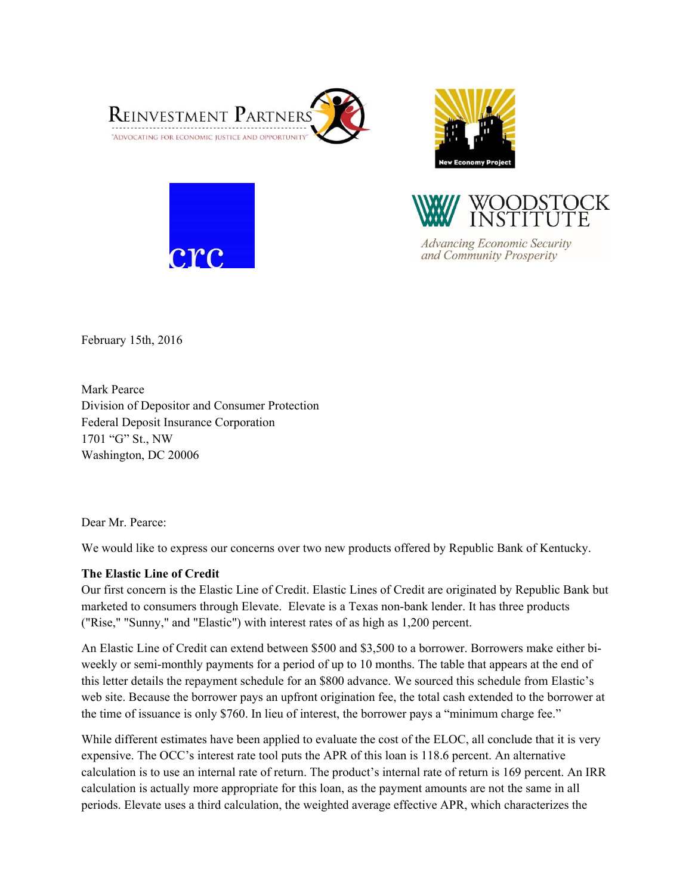





**Advancing Economic Security** and Community Prosperity

February 15th, 2016

Mark Pearce Division of Depositor and Consumer Protection Federal Deposit Insurance Corporation 1701 "G" St., NW Washington, DC 20006

Dear Mr. Pearce:

We would like to express our concerns over two new products offered by Republic Bank of Kentucky.

# **The Elastic Line of Credit**

Our first concern is the Elastic Line of Credit. Elastic Lines of Credit are originated by Republic Bank but marketed to consumers through Elevate. Elevate is a Texas non-bank lender. It has three products ("Rise," "Sunny," and "Elastic") with interest rates of as high as 1,200 percent.

An Elastic Line of Credit can extend between \$500 and \$3,500 to a borrower. Borrowers make either biweekly or semi-monthly payments for a period of up to 10 months. The table that appears at the end of this letter details the repayment schedule for an \$800 advance. We sourced this schedule from Elastic's web site. Because the borrower pays an upfront origination fee, the total cash extended to the borrower at the time of issuance is only \$760. In lieu of interest, the borrower pays a "minimum charge fee."

While different estimates have been applied to evaluate the cost of the ELOC, all conclude that it is very expensive. The OCC's interest rate tool puts the APR of this loan is 118.6 percent. An alternative calculation is to use an internal rate of return. The product's internal rate of return is 169 percent. An IRR calculation is actually more appropriate for this loan, as the payment amounts are not the same in all periods. Elevate uses a third calculation, the weighted average effective APR, which characterizes the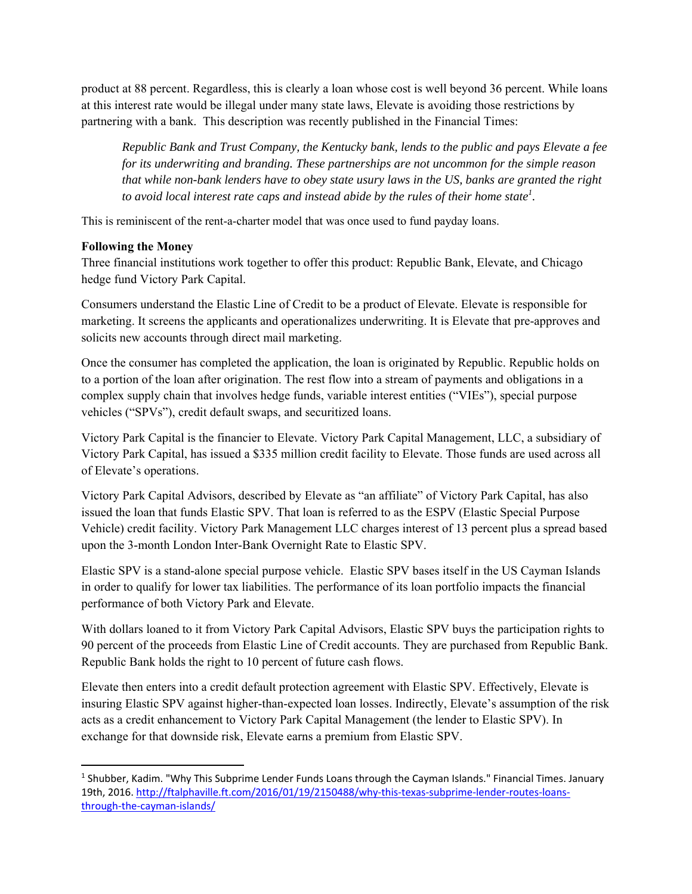product at 88 percent. Regardless, this is clearly a loan whose cost is well beyond 36 percent. While loans at this interest rate would be illegal under many state laws, Elevate is avoiding those restrictions by partnering with a bank. This description was recently published in the Financial Times:

*Republic Bank and Trust Company, the Kentucky bank, lends to the public and pays Elevate a fee for its underwriting and branding. These partnerships are not uncommon for the simple reason that while non-bank lenders have to obey state usury laws in the US, banks are granted the right to avoid local interest rate caps and instead abide by the rules of their home state<sup>1</sup>.* 

This is reminiscent of the rent-a-charter model that was once used to fund payday loans.

### **Following the Money**

Three financial institutions work together to offer this product: Republic Bank, Elevate, and Chicago hedge fund Victory Park Capital.

Consumers understand the Elastic Line of Credit to be a product of Elevate. Elevate is responsible for marketing. It screens the applicants and operationalizes underwriting. It is Elevate that pre-approves and solicits new accounts through direct mail marketing.

Once the consumer has completed the application, the loan is originated by Republic. Republic holds on to a portion of the loan after origination. The rest flow into a stream of payments and obligations in a complex supply chain that involves hedge funds, variable interest entities ("VIEs"), special purpose vehicles ("SPVs"), credit default swaps, and securitized loans.

Victory Park Capital is the financier to Elevate. Victory Park Capital Management, LLC, a subsidiary of Victory Park Capital, has issued a \$335 million credit facility to Elevate. Those funds are used across all of Elevate's operations.

Victory Park Capital Advisors, described by Elevate as "an affiliate" of Victory Park Capital, has also issued the loan that funds Elastic SPV. That loan is referred to as the ESPV (Elastic Special Purpose Vehicle) credit facility. Victory Park Management LLC charges interest of 13 percent plus a spread based upon the 3-month London Inter-Bank Overnight Rate to Elastic SPV.

Elastic SPV is a stand-alone special purpose vehicle. Elastic SPV bases itself in the US Cayman Islands in order to qualify for lower tax liabilities. The performance of its loan portfolio impacts the financial performance of both Victory Park and Elevate.

With dollars loaned to it from Victory Park Capital Advisors, Elastic SPV buys the participation rights to 90 percent of the proceeds from Elastic Line of Credit accounts. They are purchased from Republic Bank. Republic Bank holds the right to 10 percent of future cash flows.

Elevate then enters into a credit default protection agreement with Elastic SPV. Effectively, Elevate is insuring Elastic SPV against higher-than-expected loan losses. Indirectly, Elevate's assumption of the risk acts as a credit enhancement to Victory Park Capital Management (the lender to Elastic SPV). In exchange for that downside risk, Elevate earns a premium from Elastic SPV.

<sup>&</sup>lt;sup>1</sup> Shubber, Kadim. "Why This Subprime Lender Funds Loans through the Cayman Islands." Financial Times. January 19th, 2016. http://ftalphaville.ft.com/2016/01/19/2150488/why-this-texas-subprime-lender-routes-loansthrough‐the‐cayman‐islands/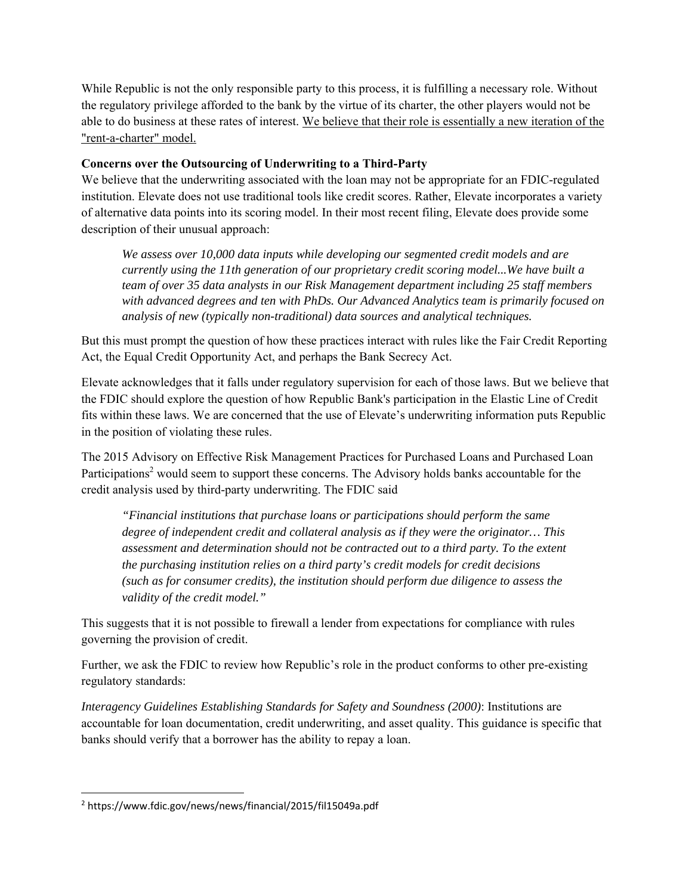While Republic is not the only responsible party to this process, it is fulfilling a necessary role. Without the regulatory privilege afforded to the bank by the virtue of its charter, the other players would not be able to do business at these rates of interest. We believe that their role is essentially a new iteration of the "rent-a-charter" model.

# **Concerns over the Outsourcing of Underwriting to a Third-Party**

We believe that the underwriting associated with the loan may not be appropriate for an FDIC-regulated institution. Elevate does not use traditional tools like credit scores. Rather, Elevate incorporates a variety of alternative data points into its scoring model. In their most recent filing, Elevate does provide some description of their unusual approach:

*We assess over 10,000 data inputs while developing our segmented credit models and are currently using the 11th generation of our proprietary credit scoring model...We have built a team of over 35 data analysts in our Risk Management department including 25 staff members with advanced degrees and ten with PhDs. Our Advanced Analytics team is primarily focused on analysis of new (typically non-traditional) data sources and analytical techniques.*

But this must prompt the question of how these practices interact with rules like the Fair Credit Reporting Act, the Equal Credit Opportunity Act, and perhaps the Bank Secrecy Act.

Elevate acknowledges that it falls under regulatory supervision for each of those laws. But we believe that the FDIC should explore the question of how Republic Bank's participation in the Elastic Line of Credit fits within these laws. We are concerned that the use of Elevate's underwriting information puts Republic in the position of violating these rules.

The 2015 Advisory on Effective Risk Management Practices for Purchased Loans and Purchased Loan Participations<sup>2</sup> would seem to support these concerns. The Advisory holds banks accountable for the credit analysis used by third-party underwriting. The FDIC said

*"Financial institutions that purchase loans or participations should perform the same degree of independent credit and collateral analysis as if they were the originator… This assessment and determination should not be contracted out to a third party. To the extent the purchasing institution relies on a third party's credit models for credit decisions (such as for consumer credits), the institution should perform due diligence to assess the validity of the credit model."* 

This suggests that it is not possible to firewall a lender from expectations for compliance with rules governing the provision of credit.

Further, we ask the FDIC to review how Republic's role in the product conforms to other pre-existing regulatory standards:

*Interagency Guidelines Establishing Standards for Safety and Soundness (2000)*: Institutions are accountable for loan documentation, credit underwriting, and asset quality. This guidance is specific that banks should verify that a borrower has the ability to repay a loan.

 2 https://www.fdic.gov/news/news/financial/2015/fil15049a.pdf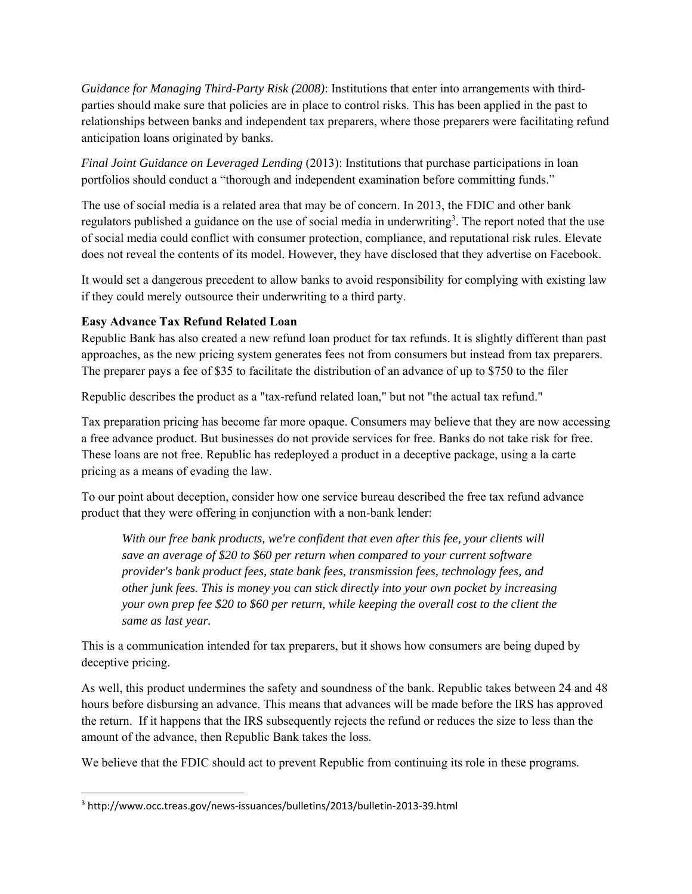*Guidance for Managing Third-Party Risk (2008)*: Institutions that enter into arrangements with thirdparties should make sure that policies are in place to control risks. This has been applied in the past to relationships between banks and independent tax preparers, where those preparers were facilitating refund anticipation loans originated by banks.

*Final Joint Guidance on Leveraged Lending* (2013): Institutions that purchase participations in loan portfolios should conduct a "thorough and independent examination before committing funds."

The use of social media is a related area that may be of concern. In 2013, the FDIC and other bank regulators published a guidance on the use of social media in underwriting<sup>3</sup>. The report noted that the use of social media could conflict with consumer protection, compliance, and reputational risk rules. Elevate does not reveal the contents of its model. However, they have disclosed that they advertise on Facebook.

It would set a dangerous precedent to allow banks to avoid responsibility for complying with existing law if they could merely outsource their underwriting to a third party.

### **Easy Advance Tax Refund Related Loan**

Republic Bank has also created a new refund loan product for tax refunds. It is slightly different than past approaches, as the new pricing system generates fees not from consumers but instead from tax preparers. The preparer pays a fee of \$35 to facilitate the distribution of an advance of up to \$750 to the filer

Republic describes the product as a "tax-refund related loan," but not "the actual tax refund."

Tax preparation pricing has become far more opaque. Consumers may believe that they are now accessing a free advance product. But businesses do not provide services for free. Banks do not take risk for free. These loans are not free. Republic has redeployed a product in a deceptive package, using a la carte pricing as a means of evading the law.

To our point about deception, consider how one service bureau described the free tax refund advance product that they were offering in conjunction with a non-bank lender:

*With our free bank products, we're confident that even after this fee, your clients will save an average of \$20 to \$60 per return when compared to your current software provider's bank product fees, state bank fees, transmission fees, technology fees, and other junk fees. This is money you can stick directly into your own pocket by increasing your own prep fee \$20 to \$60 per return, while keeping the overall cost to the client the same as last year.* 

This is a communication intended for tax preparers, but it shows how consumers are being duped by deceptive pricing.

As well, this product undermines the safety and soundness of the bank. Republic takes between 24 and 48 hours before disbursing an advance. This means that advances will be made before the IRS has approved the return. If it happens that the IRS subsequently rejects the refund or reduces the size to less than the amount of the advance, then Republic Bank takes the loss.

We believe that the FDIC should act to prevent Republic from continuing its role in these programs.

<sup>3</sup> http://www.occ.treas.gov/news‐issuances/bulletins/2013/bulletin‐2013‐39.html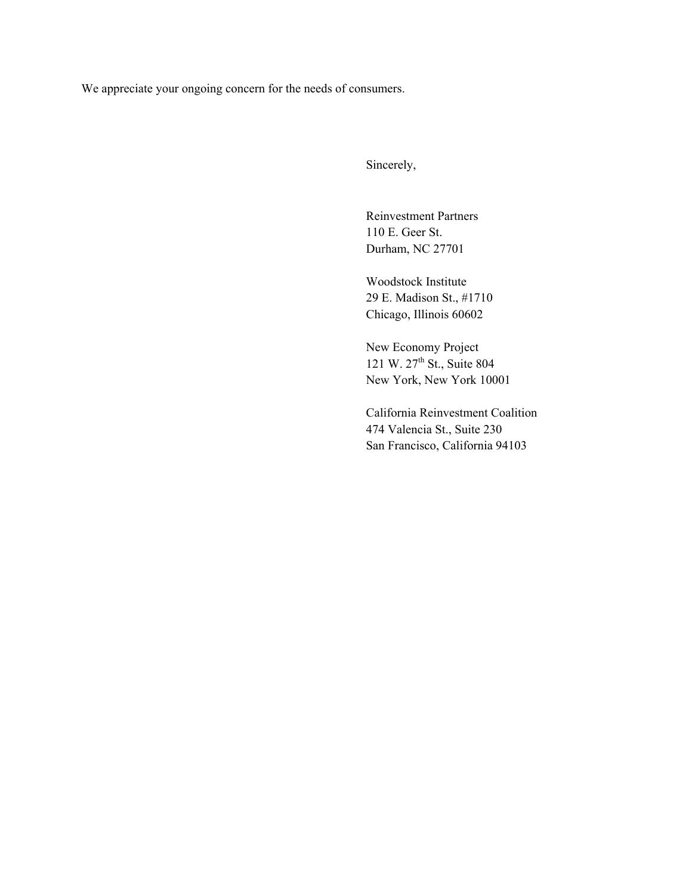We appreciate your ongoing concern for the needs of consumers.

Sincerely,

Reinvestment Partners 110 E. Geer St. Durham, NC 27701

Woodstock Institute 29 E. Madison St., #1710 Chicago, Illinois 60602

New Economy Project 121 W. 27<sup>th</sup> St., Suite 804 New York, New York 10001

California Reinvestment Coalition 474 Valencia St., Suite 230 San Francisco, California 94103